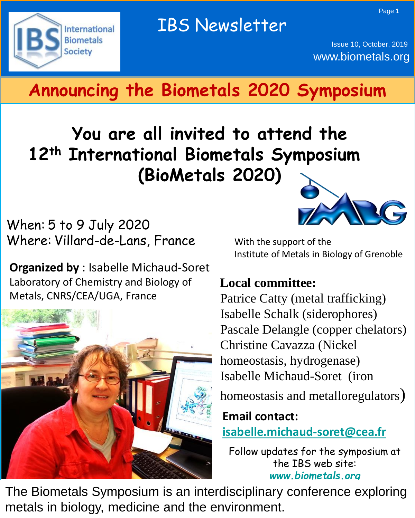Page 1



Issue 10, October, 2019 www.biometals.org

# **Announcing the Biometals 2020 Symposium**

# **You are all invited to attend the 12th International Biometals Symposium (BioMetals 2020)**

When: 5 to 9 July 2020 Where: Villard-de-Lans, France

**Organized by** : Isabelle Michaud-Soret Laboratory of Chemistry and Biology of Metals, CNRS/CEA/UGA, France





With the support of the Institute of Metals in Biology of Grenoble

## **Local committee:**

Patrice Catty (metal trafficking) Pascale Delangle (copper chelators) Christine Cavazza (Nickel homeostasis, hydrogenase) Isabelle Michaud-Soret (iron

homeostasis and metalloregulators)

**Email contact: [isabelle.michaud-soret@cea.fr](mailto:isabelle.michaud-soret@cea.fr)**

Follow updates for the symposium at the IBS web site: *[www.biometals.org](http://www.biometals.org/)*

The Biometals Symposium is an interdisciplinary conference exploring metals in biology, medicine and the environment.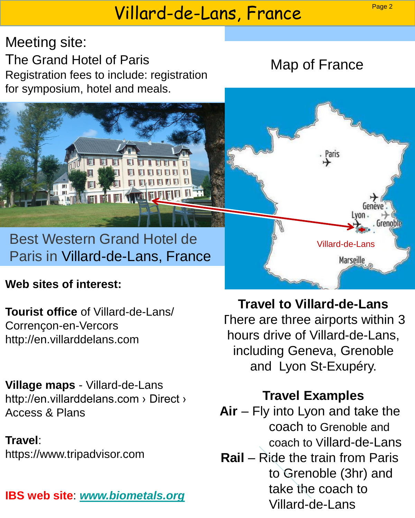# Villard-de-Lans, France

Meeting site: The Grand Hotel of Paris Registration fees to include: registration for symposium, hotel and meals.

Map of France

## Best Western Grand Hotel de Paris in Villard-de-Lans, France

### **Web sites of interest:**

**Tourist office** of Villard-de-Lans/ Corrençon-en-Vercors http://en.villarddelans.com

**Village maps** - Villard-de-Lans http://en.villarddelans.com › Direct › Access & Plans

## **Travel**:

https://www.tripadvisor.com

## **IBS web site**: *[www.biometals.org](http://www.biometals.org/)*

**Travel to Villard-de-Lans** There are three airports within 3 hours drive of Villard-de-Lans, including Geneva, Grenoble and Lyon St-Exupéry.

Villard-de-Lans

Marseille

Grenob

aris

## **Travel Examples**

- **Air** Fly into Lyon and take the coach to Grenoble and coach to Villard-de-Lans
- **Rail** Ride the train from Paris to Grenoble (3hr) and take the coach to Villard-de-Lans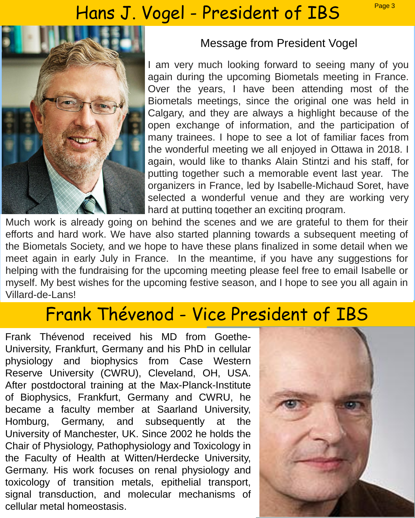# Hans J. Vogel - President of IBS Page 3



#### Message from President Vogel

I am very much looking forward to seeing many of you again during the upcoming Biometals meeting in France. Over the years, I have been attending most of the Biometals meetings, since the original one was held in Calgary, and they are always a highlight because of the open exchange of information, and the participation of many trainees. I hope to see a lot of familiar faces from the wonderful meeting we all enjoyed in Ottawa in 2018. I again, would like to thanks Alain Stintzi and his staff, for putting together such a memorable event last year. The organizers in France, led by Isabelle-Michaud Soret, have selected a wonderful venue and they are working very hard at putting together an exciting program.

Much work is already going on behind the scenes and we are grateful to them for their efforts and hard work. We have also started planning towards a subsequent meeting of the Biometals Society, and we hope to have these plans finalized in some detail when we meet again in early July in France. In the meantime, if you have any suggestions for helping with the fundraising for the upcoming meeting please feel free to email Isabelle or myself. My best wishes for the upcoming festive season, and I hope to see you all again in Villard-de-Lans!

## Frank Thévenod - Vice President of IBS

Frank Thévenod received his MD from Goethe-University, Frankfurt, Germany and his PhD in cellular physiology and biophysics from Case Western Reserve University (CWRU), Cleveland, OH, USA. After postdoctoral training at the Max-Planck-Institute of Biophysics, Frankfurt, Germany and CWRU, he became a faculty member at Saarland University, Homburg, Germany, and subsequently at the University of Manchester, UK. Since 2002 he holds the Chair of Physiology, Pathophysiology and Toxicology in the Faculty of Health at Witten/Herdecke University, Germany. His work focuses on renal physiology and toxicology of transition metals, epithelial transport, signal transduction, and molecular mechanisms of cellular metal homeostasis.